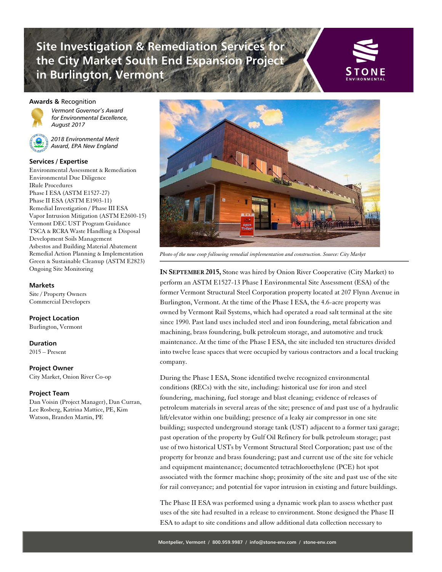# **Site Investigation & Remediation Services for the City Market South End Expansion Project in Burlington, Vermont**



### **Awards &** Recognition



*Vermont Governor's Award for Environmental Excellence, August 2017*



### **Services / Expertise**

Environmental Assessment & Remediation Environmental Due Diligence IRule Procedures Phase I ESA (ASTM E1527-27) Phase II ESA (ASTM E1903-11) Remedial Investigation / Phase III ESA Vapor Intrusion Mitigation (ASTM E2600-15) Vermont DEC UST Program Guidance TSCA & RCRA Waste Handling & Disposal Development Soils Management Asbestos and Building Material Abatement Remedial Action Planning & Implementation Green & Sustainable Cleanup (ASTM E2823) Ongoing Site Monitoring

#### **Markets**

Site / Property Owners Commercial Developers

### **Project Location**

Burlington, Vermont

**Duration**

2015 – Present

#### **Project Owner**

City Market, Onion River Co-op

### **Project Team**

Dan Voisin (Project Manager), Dan Curran, Lee Rosberg, Katrina Mattice, PE, Kim Watson, Branden Martin, PE



*Photo of the new coop following remedial implementation and construction. Source: City Market*

**IN SEPTEMBER 2015,** Stone was hired by Onion River Cooperative (City Market) to perform an ASTM E1527-13 Phase I Environmental Site Assessment (ESA) of the former Vermont Structural Steel Corporation property located at 207 Flynn Avenue in Burlington, Vermont. At the time of the Phase I ESA, the 4.6-acre property was owned by Vermont Rail Systems, which had operated a road salt terminal at the site since 1990. Past land uses included steel and iron foundering, metal fabrication and machining, brass foundering, bulk petroleum storage, and automotive and truck maintenance. At the time of the Phase I ESA, the site included ten structures divided into twelve lease spaces that were occupied by various contractors and a local trucking company.

During the Phase I ESA, Stone identified twelve recognized environmental conditions (RECs) with the site, including: historical use for iron and steel foundering, machining, fuel storage and blast cleaning; evidence of releases of petroleum materials in several areas of the site; presence of and past use of a hydraulic lift/elevator within one building; presence of a leaky air compressor in one site building; suspected underground storage tank (UST) adjacent to a former taxi garage; past operation of the property by Gulf Oil Refinery for bulk petroleum storage; past use of two historical USTs by Vermont Structural Steel Corporation; past use of the property for bronze and brass foundering; past and current use of the site for vehicle and equipment maintenance; documented tetrachloroethylene (PCE) hot spot associated with the former machine shop; proximity of the site and past use of the site for rail conveyance; and potential for vapor intrusion in existing and future buildings.

The Phase II ESA was performed using a dynamic work plan to assess whether past uses of the site had resulted in a release to environment. Stone designed the Phase II ESA to adapt to site conditions and allow additional data collection necessary to